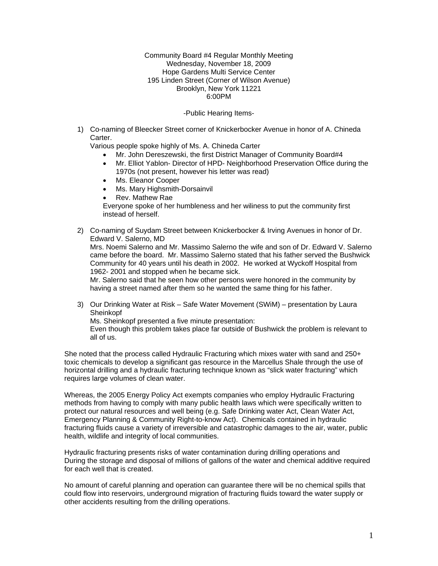Community Board #4 Regular Monthly Meeting Wednesday, November 18, 2009 Hope Gardens Multi Service Center 195 Linden Street (Corner of Wilson Avenue) Brooklyn, New York 11221 6:00PM

#### -Public Hearing Items-

1) Co-naming of Bleecker Street corner of Knickerbocker Avenue in honor of A. Chineda Carter.

Various people spoke highly of Ms. A. Chineda Carter

- Mr. John Dereszewski, the first District Manager of Community Board#4
- Mr. Elliot Yablon- Director of HPD- Neighborhood Preservation Office during the 1970s (not present, however his letter was read)
- Ms. Eleanor Cooper
- Ms. Mary Highsmith-Dorsainvil
- Rev. Mathew Rae

Everyone spoke of her humbleness and her wiliness to put the community first instead of herself.

2) Co-naming of Suydam Street between Knickerbocker & Irving Avenues in honor of Dr. Edward V. Salerno, MD

Mrs. Noemi Salerno and Mr. Massimo Salerno the wife and son of Dr. Edward V. Salerno came before the board. Mr. Massimo Salerno stated that his father served the Bushwick Community for 40 years until his death in 2002. He worked at Wyckoff Hospital from 1962- 2001 and stopped when he became sick.

Mr. Salerno said that he seen how other persons were honored in the community by having a street named after them so he wanted the same thing for his father.

3) Our Drinking Water at Risk – Safe Water Movement (SWiM) – presentation by Laura Sheinkopf

Ms. Sheinkopf presented a five minute presentation:

Even though this problem takes place far outside of Bushwick the problem is relevant to all of us.

She noted that the process called Hydraulic Fracturing which mixes water with sand and 250+ toxic chemicals to develop a significant gas resource in the Marcellus Shale through the use of horizontal drilling and a hydraulic fracturing technique known as "slick water fracturing" which requires large volumes of clean water.

Whereas, the 2005 Energy Policy Act exempts companies who employ Hydraulic Fracturing methods from having to comply with many public health laws which were specifically written to protect our natural resources and well being (e.g. Safe Drinking water Act, Clean Water Act, Emergency Planning & Community Right-to-know Act). Chemicals contained in hydraulic fracturing fluids cause a variety of irreversible and catastrophic damages to the air, water, public health, wildlife and integrity of local communities.

Hydraulic fracturing presents risks of water contamination during drilling operations and During the storage and disposal of millions of gallons of the water and chemical additive required for each well that is created.

No amount of careful planning and operation can guarantee there will be no chemical spills that could flow into reservoirs, underground migration of fracturing fluids toward the water supply or other accidents resulting from the drilling operations.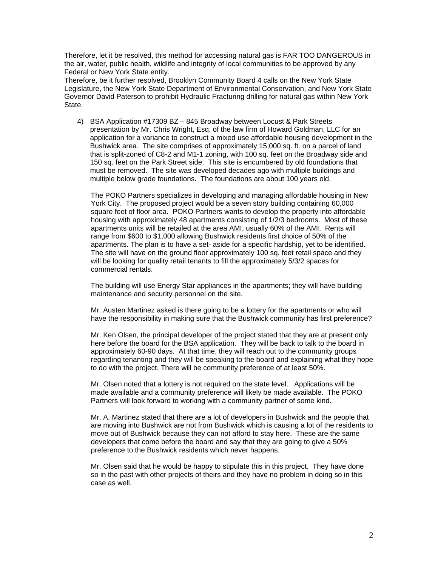Therefore, let it be resolved, this method for accessing natural gas is FAR TOO DANGEROUS in the air, water, public health, wildlife and integrity of local communities to be approved by any Federal or New York State entity.

Therefore, be it further resolved, Brooklyn Community Board 4 calls on the New York State Legislature, the New York State Department of Environmental Conservation, and New York State Governor David Paterson to prohibit Hydraulic Fracturing drilling for natural gas within New York State.

4) BSA Application #17309 BZ – 845 Broadway between Locust & Park Streets presentation by Mr. Chris Wright, Esq. of the law firm of Howard Goldman, LLC for an application for a variance to construct a mixed use affordable housing development in the Bushwick area. The site comprises of approximately 15,000 sq. ft. on a parcel of land that is split-zoned of C8-2 and M1-1 zoning, with 100 sq. feet on the Broadway side and 150 sq. feet on the Park Street side. This site is encumbered by old foundations that must be removed. The site was developed decades ago with multiple buildings and multiple below grade foundations. The foundations are about 100 years old.

The POKO Partners specializes in developing and managing affordable housing in New York City. The proposed project would be a seven story building containing 60,000 square feet of floor area. POKO Partners wants to develop the property into affordable housing with approximately 48 apartments consisting of 1/2/3 bedrooms. Most of these apartments units will be retailed at the area AMI, usually 60% of the AMI. Rents will range from \$600 to \$1,000 allowing Bushwick residents first choice of 50% of the apartments. The plan is to have a set- aside for a specific hardship, yet to be identified. The site will have on the ground floor approximately 100 sq. feet retail space and they will be looking for quality retail tenants to fill the approximately 5/3/2 spaces for commercial rentals.

The building will use Energy Star appliances in the apartments; they will have building maintenance and security personnel on the site.

Mr. Austen Martinez asked is there going to be a lottery for the apartments or who will have the responsibility in making sure that the Bushwick community has first preference?

Mr. Ken Olsen, the principal developer of the project stated that they are at present only here before the board for the BSA application. They will be back to talk to the board in approximately 60-90 days. At that time, they will reach out to the community groups regarding tenanting and they will be speaking to the board and explaining what they hope to do with the project. There will be community preference of at least 50%.

Mr. Olsen noted that a lottery is not required on the state level. Applications will be made available and a community preference will likely be made available. The POKO Partners will look forward to working with a community partner of some kind.

Mr. A. Martinez stated that there are a lot of developers in Bushwick and the people that are moving into Bushwick are not from Bushwick which is causing a lot of the residents to move out of Bushwick because they can not afford to stay here. These are the same developers that come before the board and say that they are going to give a 50% preference to the Bushwick residents which never happens.

Mr. Olsen said that he would be happy to stipulate this in this project. They have done so in the past with other projects of theirs and they have no problem in doing so in this case as well.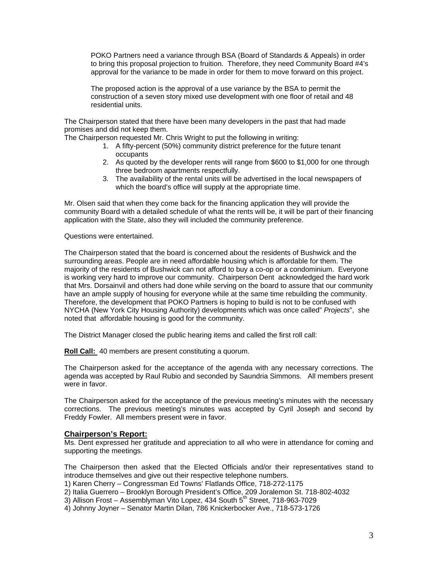POKO Partners need a variance through BSA (Board of Standards & Appeals) in order to bring this proposal projection to fruition. Therefore, they need Community Board #4's approval for the variance to be made in order for them to move forward on this project.

The proposed action is the approval of a use variance by the BSA to permit the construction of a seven story mixed use development with one floor of retail and 48 residential units.

The Chairperson stated that there have been many developers in the past that had made promises and did not keep them.

The Chairperson requested Mr. Chris Wright to put the following in writing:

- 1. A fifty-percent (50%) community district preference for the future tenant occupants
- 2. As quoted by the developer rents will range from \$600 to \$1,000 for one through three bedroom apartments respectfully.
- 3. The availability of the rental units will be advertised in the local newspapers of which the board's office will supply at the appropriate time.

Mr. Olsen said that when they come back for the financing application they will provide the community Board with a detailed schedule of what the rents will be, it will be part of their financing application with the State, also they will included the community preference.

Questions were entertained.

The Chairperson stated that the board is concerned about the residents of Bushwick and the surrounding areas. People are in need affordable housing which is affordable for them. The majority of the residents of Bushwick can not afford to buy a co-op or a condominium. Everyone is working very hard to improve our community. Chairperson Dent acknowledged the hard work that Mrs. Dorsainvil and others had done while serving on the board to assure that our community have an ample supply of housing for everyone while at the same time rebuilding the community. Therefore, the development that POKO Partners is hoping to build is not to be confused with NYCHA (New York City Housing Authority) developments which was once called" *Projects*", she noted that affordable housing is good for the community.

The District Manager closed the public hearing items and called the first roll call:

**Roll Call:** 40 members are present constituting a quorum.

The Chairperson asked for the acceptance of the agenda with any necessary corrections. The agenda was accepted by Raul Rubio and seconded by Saundria Simmons. All members present were in favor.

The Chairperson asked for the acceptance of the previous meeting's minutes with the necessary corrections. The previous meeting's minutes was accepted by Cyril Joseph and second by Freddy Fowler. All members present were in favor.

### **Chairperson's Report:**

Ms. Dent expressed her gratitude and appreciation to all who were in attendance for coming and supporting the meetings.

The Chairperson then asked that the Elected Officials and/or their representatives stand to introduce themselves and give out their respective telephone numbers.

1) Karen Cherry – Congressman Ed Towns' Flatlands Office, 718-272-1175

2) Italia Guerrero – Brooklyn Borough President's Office, 209 Joralemon St. 718-802-4032

 $3)$  Allison Frost – Assemblyman Vito Lopez, 434 South  $5<sup>th</sup>$  Street, 718-963-7029

4) Johnny Joyner – Senator Martin Dilan, 786 Knickerbocker Ave., 718-573-1726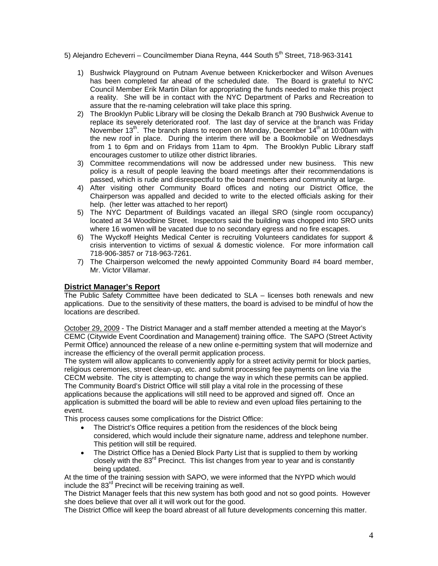- 5) Alejandro Echeverri Councilmember Diana Reyna, 444 South 5<sup>th</sup> Street, 718-963-3141
	- 1) Bushwick Playground on Putnam Avenue between Knickerbocker and Wilson Avenues has been completed far ahead of the scheduled date. The Board is grateful to NYC Council Member Erik Martin Dilan for appropriating the funds needed to make this project a reality. She will be in contact with the NYC Department of Parks and Recreation to assure that the re-naming celebration will take place this spring.
	- 2) The Brooklyn Public Library will be closing the Dekalb Branch at 790 Bushwick Avenue to replace its severely deteriorated roof. The last day of service at the branch was Friday November 13<sup>th</sup>. The branch plans to reopen on Monday, December 14<sup>th</sup> at 10:00am with the new roof in place. During the interim there will be a Bookmobile on Wednesdays from 1 to 6pm and on Fridays from 11am to 4pm. The Brooklyn Public Library staff encourages customer to utilize other district libraries.
	- 3) Committee recommendations will now be addressed under new business. This new policy is a result of people leaving the board meetings after their recommendations is passed, which is rude and disrespectful to the board members and community at large.
	- 4) After visiting other Community Board offices and noting our District Office, the Chairperson was appalled and decided to write to the elected officials asking for their help. (her letter was attached to her report)
	- 5) The NYC Department of Buildings vacated an illegal SRO (single room occupancy) located at 34 Woodbine Street. Inspectors said the building was chopped into SRO units where 16 women will be vacated due to no secondary egress and no fire escapes.
	- 6) The Wyckoff Heights Medical Center is recruiting Volunteers candidates for support & crisis intervention to victims of sexual & domestic violence. For more information call 718-906-3857 or 718-963-7261.
	- 7) The Chairperson welcomed the newly appointed Community Board #4 board member, Mr. Victor Villamar.

# **District Manager's Report**

The Public Safety Committee have been dedicated to SLA – licenses both renewals and new applications. Due to the sensitivity of these matters, the board is advised to be mindful of how the locations are described.

October 29, 2009 - The District Manager and a staff member attended a meeting at the Mayor's CEMC (Citywide Event Coordination and Management) training office. The SAPO (Street Activity Permit Office) announced the release of a new online e-permitting system that will modernize and increase the efficiency of the overall permit application process.

The system will allow applicants to conveniently apply for a street activity permit for block parties, religious ceremonies, street clean-up, etc. and submit processing fee payments on line via the CECM website. The city is attempting to change the way in which these permits can be applied. The Community Board's District Office will still play a vital role in the processing of these applications because the applications will still need to be approved and signed off. Once an application is submitted the board will be able to review and even upload files pertaining to the event.

This process causes some complications for the District Office:

- The District's Office requires a petition from the residences of the block being considered, which would include their signature name, address and telephone number. This petition will still be required.
- The District Office has a Denied Block Party List that is supplied to them by working closely with the 83<sup>rd</sup> Precinct. This list changes from year to year and is constantly being updated.

At the time of the training session with SAPO, we were informed that the NYPD which would include the  $83<sup>rd</sup>$  Precinct will be receiving training as well.

The District Manager feels that this new system has both good and not so good points. However she does believe that over all it will work out for the good.

The District Office will keep the board abreast of all future developments concerning this matter.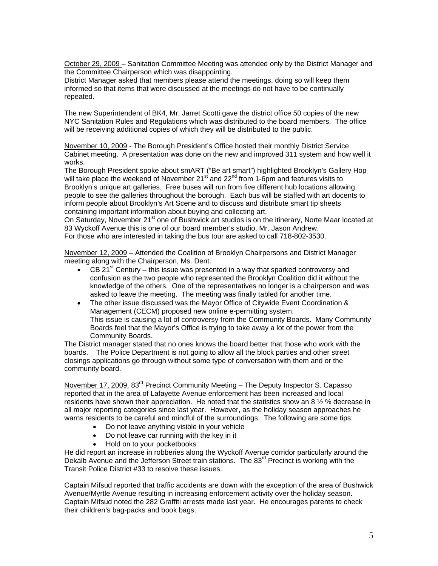October 29, 2009 – Sanitation Committee Meeting was attended only by the District Manager and the Committee Chairperson which was disappointing.

District Manager asked that members please attend the meetings, doing so will keep them informed so that items that were discussed at the meetings do not have to be continually repeated.

The new Superintendent of BK4, Mr. Jarret Scotti gave the district office 50 copies of the new NYC Sanitation Rules and Regulations which was distributed to the board members. The office will be receiving additional copies of which they will be distributed to the public.

November 10, 2009 - The Borough President's Office hosted their monthly District Service Cabinet meeting. A presentation was done on the new and improved 311 system and how well it works.

The Borough President spoke about smART ("Be art smart") highlighted Brooklyn's Gallery Hop will take place the weekend of November 21 $^{\text{st}}$  and 22<sup>nd</sup> from 1-6pm and features visits to Brooklyn's unique art galleries. Free buses will run from five different hub locations allowing people to see the galleries throughout the borough. Each bus will be staffed with art docents to inform people about Brooklyn's Art Scene and to discuss and distribute smart tip sheets containing important information about buying and collecting art.

On Saturday, November 21<sup>st</sup> one of Bushwick art studios is on the itinerary, Norte Maar located at 83 Wyckoff Avenue this is one of our board member's studio, Mr. Jason Andrew.

For those who are interested in taking the bus tour are asked to call 718-802-3530.

November 12, 2009 – Attended the Coalition of Brooklyn Chairpersons and District Manager meeting along with the Chairperson, Ms. Dent.

- CB 21 $<sup>st</sup>$  Century this issue was presented in a way that sparked controversy and</sup> confusion as the two people who represented the Brooklyn Coalition did it without the knowledge of the others. One of the representatives no longer is a chairperson and was asked to leave the meeting. The meeting was finally tabled for another time.
- The other issue discussed was the Mayor Office of Citywide Event Coordination & Management (CECM) proposed new online e-permitting system. This issue is causing a lot of controversy from the Community Boards. Many Community Boards feel that the Mayor's Office is trying to take away a lot of the power from the Community Boards.

The District manager stated that no ones knows the board better that those who work with the boards. The Police Department is not going to allow all the block parties and other street closings applications go through without some type of conversation with them and or the community board.

November 17, 2009, 83<sup>rd</sup> Precinct Community Meeting – The Deputy Inspector S. Capasso reported that in the area of Lafayette Avenue enforcement has been increased and local residents have shown their appreciation. He noted that the statistics show an 8  $\frac{1}{2}$  % decrease in all major reporting categories since last year. However, as the holiday season approaches he warns residents to be careful and mindful of the surroundings. The following are some tips:

- Do not leave anything visible in your vehicle
- Do not leave car running with the key in it
- Hold on to your pocketbooks

He did report an increase in robberies along the Wyckoff Avenue corridor particularly around the Dekalb Avenue and the Jefferson Street train stations. The 83<sup>rd</sup> Precinct is working with the Transit Police District #33 to resolve these issues.

Captain Mifsud reported that traffic accidents are down with the exception of the area of Bushwick Avenue/Myrtle Avenue resulting in increasing enforcement activity over the holiday season. Captain Mifsud noted the 282 Graffiti arrests made last year. He encourages parents to check their children's bag-packs and book bags.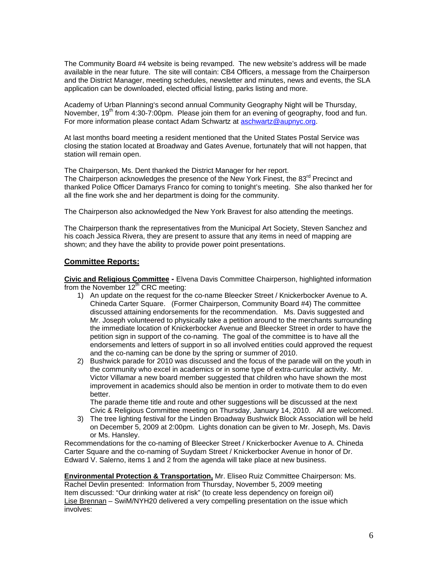The Community Board #4 website is being revamped. The new website's address will be made available in the near future. The site will contain: CB4 Officers, a message from the Chairperson and the District Manager, meeting schedules, newsletter and minutes, news and events, the SLA application can be downloaded, elected official listing, parks listing and more.

Academy of Urban Planning's second annual Community Geography Night will be Thursday, November,  $19<sup>th</sup>$  from 4:30-7:00pm. Please join them for an evening of geography, food and fun. For more information please contact Adam Schwartz at aschwartz@aupnyc.org.

At last months board meeting a resident mentioned that the United States Postal Service was closing the station located at Broadway and Gates Avenue, fortunately that will not happen, that station will remain open.

The Chairperson, Ms. Dent thanked the District Manager for her report.

The Chairperson acknowledges the presence of the New York Finest, the 83<sup>rd</sup> Precinct and thanked Police Officer Damarys Franco for coming to tonight's meeting. She also thanked her for all the fine work she and her department is doing for the community.

The Chairperson also acknowledged the New York Bravest for also attending the meetings.

The Chairperson thank the representatives from the Municipal Art Society, Steven Sanchez and his coach Jessica Rivera, they are present to assure that any items in need of mapping are shown; and they have the ability to provide power point presentations.

## **Committee Reports:**

**Civic and Religious Committee -** Elvena Davis Committee Chairperson, highlighted information from the November  $12<sup>th</sup>$  CRC meeting:

- 1) An update on the request for the co-name Bleecker Street / Knickerbocker Avenue to A. Chineda Carter Square. (Former Chairperson, Community Board #4) The committee discussed attaining endorsements for the recommendation. Ms. Davis suggested and Mr. Joseph volunteered to physically take a petition around to the merchants surrounding the immediate location of Knickerbocker Avenue and Bleecker Street in order to have the petition sign in support of the co-naming. The goal of the committee is to have all the endorsements and letters of support in so all involved entities could approved the request and the co-naming can be done by the spring or summer of 2010.
- 2) Bushwick parade for 2010 was discussed and the focus of the parade will on the youth in the community who excel in academics or in some type of extra-curricular activity. Mr. Victor Villamar a new board member suggested that children who have shown the most improvement in academics should also be mention in order to motivate them to do even better.

The parade theme title and route and other suggestions will be discussed at the next Civic & Religious Committee meeting on Thursday, January 14, 2010. All are welcomed.

3) The tree lighting festival for the Linden Broadway Bushwick Block Association will be held on December 5, 2009 at 2:00pm. Lights donation can be given to Mr. Joseph, Ms. Davis or Ms. Hansley.

Recommendations for the co-naming of Bleecker Street / Knickerbocker Avenue to A. Chineda Carter Square and the co-naming of Suydam Street / Knickerbocker Avenue in honor of Dr. Edward V. Salerno, items 1 and 2 from the agenda will take place at new business.

**Environmental Protection & Transportation,** Mr. Eliseo Ruiz Committee Chairperson: Ms. Rachel Devlin presented: Information from Thursday, November 5, 2009 meeting Item discussed: "Our drinking water at risk" (to create less dependency on foreign oil) Lise Brennan – SwiM/NYH20 delivered a very compelling presentation on the issue which involves: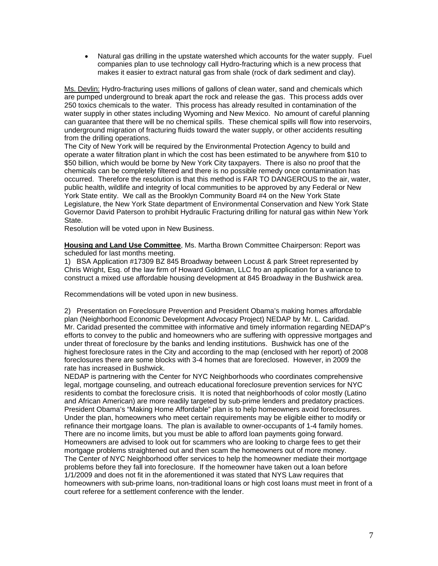• Natural gas drilling in the upstate watershed which accounts for the water supply. Fuel companies plan to use technology call Hydro-fracturing which is a new process that makes it easier to extract natural gas from shale (rock of dark sediment and clay).

Ms. Devlin: Hydro-fracturing uses millions of gallons of clean water, sand and chemicals which are pumped underground to break apart the rock and release the gas. This process adds over 250 toxics chemicals to the water. This process has already resulted in contamination of the water supply in other states including Wyoming and New Mexico. No amount of careful planning can guarantee that there will be no chemical spills. These chemical spills will flow into reservoirs, underground migration of fracturing fluids toward the water supply, or other accidents resulting from the drilling operations.

The City of New York will be required by the Environmental Protection Agency to build and operate a water filtration plant in which the cost has been estimated to be anywhere from \$10 to \$50 billion, which would be borne by New York City taxpayers. There is also no proof that the chemicals can be completely filtered and there is no possible remedy once contamination has occurred. Therefore the resolution is that this method is FAR TO DANGEROUS to the air, water, public health, wildlife and integrity of local communities to be approved by any Federal or New York State entity. We call as the Brooklyn Community Board #4 on the New York State Legislature, the New York State department of Environmental Conservation and New York State Governor David Paterson to prohibit Hydraulic Fracturing drilling for natural gas within New York State.

Resolution will be voted upon in New Business.

**Housing and Land Use Committee**, Ms. Martha Brown Committee Chairperson: Report was scheduled for last months meeting.

1) BSA Application #17309 BZ 845 Broadway between Locust & park Street represented by Chris Wright, Esq. of the law firm of Howard Goldman, LLC fro an application for a variance to construct a mixed use affordable housing development at 845 Broadway in the Bushwick area.

Recommendations will be voted upon in new business.

2) Presentation on Foreclosure Prevention and President Obama's making homes affordable plan (Neighborhood Economic Development Advocacy Project) NEDAP by Mr. L. Caridad. Mr. Caridad presented the committee with informative and timely information regarding NEDAP's efforts to convey to the public and homeowners who are suffering with oppressive mortgages and under threat of foreclosure by the banks and lending institutions. Bushwick has one of the highest foreclosure rates in the City and according to the map (enclosed with her report) of 2008 foreclosures there are some blocks with 3-4 homes that are foreclosed. However, in 2009 the rate has increased in Bushwick.

NEDAP is partnering with the Center for NYC Neighborhoods who coordinates comprehensive legal, mortgage counseling, and outreach educational foreclosure prevention services for NYC residents to combat the foreclosure crisis. It is noted that neighborhoods of color mostly (Latino and African American) are more readily targeted by sub-prime lenders and predatory practices. President Obama's "Making Home Affordable" plan is to help homeowners avoid foreclosures. Under the plan, homeowners who meet certain requirements may be eligible either to modify or refinance their mortgage loans. The plan is available to owner-occupants of 1-4 family homes. There are no income limits, but you must be able to afford loan payments going forward. Homeowners are advised to look out for scammers who are looking to charge fees to get their mortgage problems straightened out and then scam the homeowners out of more money. The Center of NYC Neighborhood offer services to help the homeowner mediate their mortgage problems before they fall into foreclosure. If the homeowner have taken out a loan before 1/1/2009 and does not fit in the aforementioned it was stated that NYS Law requires that homeowners with sub-prime loans, non-traditional loans or high cost loans must meet in front of a court referee for a settlement conference with the lender.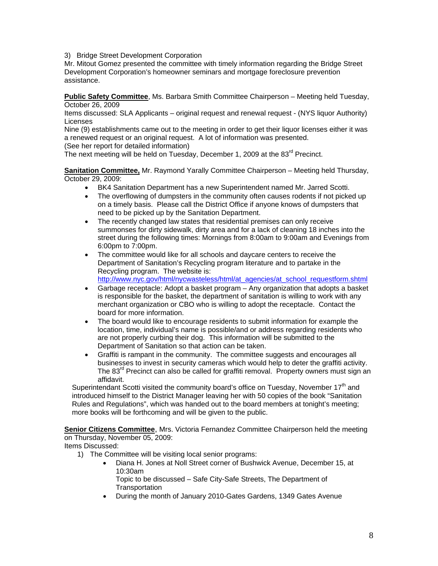#### 3) Bridge Street Development Corporation

Mr. Mitout Gomez presented the committee with timely information regarding the Bridge Street Development Corporation's homeowner seminars and mortgage foreclosure prevention assistance.

**Public Safety Committee**, Ms. Barbara Smith Committee Chairperson – Meeting held Tuesday, October 26, 2009

Items discussed: SLA Applicants – original request and renewal request - (NYS liquor Authority) Licenses

Nine (9) establishments came out to the meeting in order to get their liquor licenses either it was a renewed request or an original request. A lot of information was presented.

(See her report for detailed information)

The next meeting will be held on Tuesday, December 1, 2009 at the 83<sup>rd</sup> Precinct.

**Sanitation Committee,** Mr. Raymond Yarally Committee Chairperson – Meeting held Thursday, October 29, 2009:

- BK4 Sanitation Department has a new Superintendent named Mr. Jarred Scotti.
- The overflowing of dumpsters in the community often causes rodents if not picked up on a timely basis. Please call the District Office if anyone knows of dumpsters that need to be picked up by the Sanitation Department.
- The recently changed law states that residential premises can only receive summonses for dirty sidewalk, dirty area and for a lack of cleaning 18 inches into the street during the following times: Mornings from 8:00am to 9:00am and Evenings from 6:00pm to 7:00pm.
- The committee would like for all schools and daycare centers to receive the Department of Sanitation's Recycling program literature and to partake in the Recycling program. The website is: http://www.nyc.gov/html/nycwasteless/html/at\_agencies/at\_school\_requestform.shtml
- Garbage receptacle: Adopt a basket program Any organization that adopts a basket is responsible for the basket, the department of sanitation is willing to work with any merchant organization or CBO who is willing to adopt the receptacle. Contact the board for more information.
- The board would like to encourage residents to submit information for example the location, time, individual's name is possible/and or address regarding residents who are not properly curbing their dog. This information will be submitted to the Department of Sanitation so that action can be taken.
- Graffiti is rampant in the community. The committee suggests and encourages all businesses to invest in security cameras which would help to deter the graffiti activity. The 83<sup>rd</sup> Precinct can also be called for graffiti removal. Property owners must sign an affidavit.

Superintendant Scotti visited the community board's office on Tuesday, November 17<sup>th</sup> and introduced himself to the District Manager leaving her with 50 copies of the book "Sanitation Rules and Regulations", which was handed out to the board members at tonight's meeting; more books will be forthcoming and will be given to the public.

**Senior Citizens Committee**, Mrs. Victoria Fernandez Committee Chairperson held the meeting on Thursday, November 05, 2009:

Items Discussed:

- 1) The Committee will be visiting local senior programs:
	- Diana H. Jones at Noll Street corner of Bushwick Avenue, December 15, at 10:30am

Topic to be discussed – Safe City-Safe Streets, The Department of **Transportation** 

• During the month of January 2010-Gates Gardens, 1349 Gates Avenue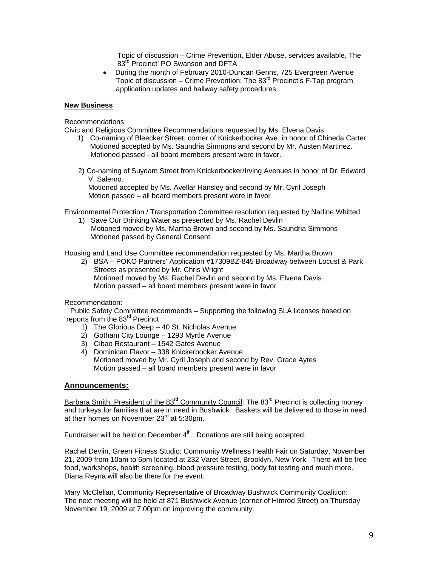Topic of discussion – Crime Prevention, Elder Abuse, services available, The 83<sup>rd</sup> Precinct' PO Swanson and DFTA

• During the month of February 2010-Duncan Genns, 725 Evergreen Avenue Topic of discussion – Crime Prevention: The  $83<sup>rd</sup>$  Precinct's F-Tap program application updates and hallway safety procedures.

#### **New Business**

Recommendations:

Civic and Religious Committee Recommendations requested by Ms. Elvena Davis

- 1) Co-naming of Bleecker Street, corner of Knickerbocker Ave. in honor of Chineda Carter. Motioned accepted by Ms. Saundria Simmons and second by Mr. Austen Martinez. Motioned passed - all board members present were in favor.
- 2) Co-naming of Suydam Street from Knickerbocker/Irving Avenues in honor of Dr. Edward V. Salerno.

 Motioned accepted by Ms. Avellar Hansley and second by Mr. Cyril Joseph Motion passed – all board members present were in favor

Environmental Protection / Transportation Committee resolution requested by Nadine Whitted

1) Save Our Drinking Water as presented by Ms. Rachel Devlin Motioned moved by Ms. Martha Brown and second by Ms. Saundria Simmons Motioned passed by General Consent

Housing and Land Use Committee recommendation requested by Ms. Martha Brown

2) BSA – POKO Partners' Application #17309BZ-845 Broadway between Locust & Park Streets as presented by Mr. Chris Wright Motioned moved by Ms. Rachel Devlin and second by Ms. Elvena Davis Motion passed – all board members present were in favor

Recommendation:

 Public Safety Committee recommends – Supporting the following SLA licenses based on reports from the 83<sup>rd</sup> Precinct

- 1) The Glorious Deep 40 St. Nicholas Avenue
- 2) Gotham City Lounge 1293 Myrtle Avenue
- 3) Cibao Restaurant 1542 Gates Avenue
- 4) Dominican Flavor 338 Knickerbocker Avenue Motioned moved by Mr. Cyril Joseph and second by Rev. Grace Aytes Motion passed – all board members present were in favor

## **Announcements:**

Barbara Smith, President of the 83<sup>rd</sup> Community Council: The 83<sup>rd</sup> Precinct is collecting money and turkeys for families that are in need in Bushwick. Baskets will be delivered to those in need at their homes on November  $23^{\text{rd}}$  at 5:30pm.

Fundraiser will be held on December  $4<sup>th</sup>$ . Donations are still being accepted.

Rachel Devlin, Green Fitness Studio: Community Wellness Health Fair on Saturday, November 21, 2009 from 10am to 6pm located at 232 Varet Street, Brooklyn, New York. There will be free food, workshops, health screening, blood pressure testing, body fat testing and much more. Diana Reyna will also be there for the event.

Mary McClellan, Community Representative of Broadway Bushwick Community Coalition: The next meeting will be held at 871 Bushwick Avenue (corner of Himrod Street) on Thursday November 19, 2009 at 7:00pm on improving the community.